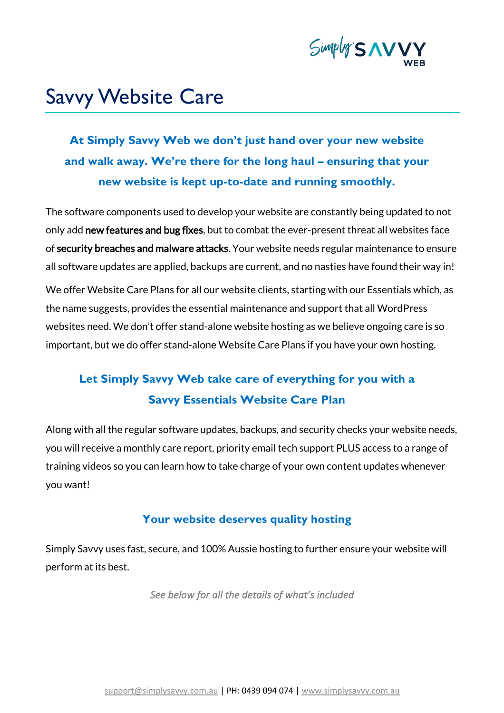

# Savvy Website Care

**At Simply Savvy Web we don't just hand over your new website and walk away. We're there for the long haul – ensuring that your new website is kept up-to-date and running smoothly.**

The software components used to develop your website are constantly being updated to not only add new features and bug fixes, but to combat the ever-present threat all websites face of security breaches and malware attacks. Your website needs regular maintenance to ensure all software updates are applied, backups are current, and no nasties have found their way in!

We offer Website Care Plans for all our website clients, starting with our Essentials which, as the name suggests, provides the essential maintenance and support that all WordPress websites need. We don't offer stand-alone website hosting as we believe ongoing care is so important, but we do offer stand-alone Website Care Plans if you have your own hosting.

# **Let Simply Savvy Web take care of everything for you with a Savvy Essentials Website Care Plan**

Along with all the regular software updates, backups, and security checks your website needs, you will receive a monthly care report, priority email tech support PLUS access to a range of training videos so you can learn how to take charge of your own content updates whenever you want!

### **Your website deserves quality hosting**

Simply Savvy uses fast, secure, and 100% Aussie hosting to further ensure your website will perform at its best.

*See below for all the details of what's included*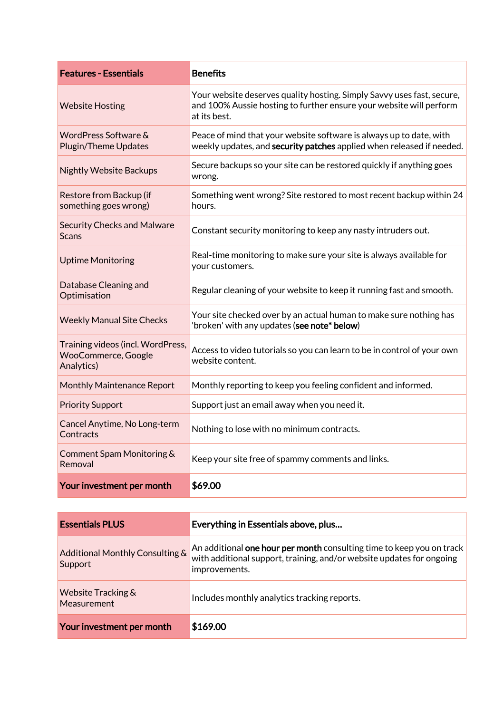| <b>Features - Essentials</b>                                                  | <b>Benefits</b>                                                                                                                                               |
|-------------------------------------------------------------------------------|---------------------------------------------------------------------------------------------------------------------------------------------------------------|
| <b>Website Hosting</b>                                                        | Your website deserves quality hosting. Simply Savvy uses fast, secure,<br>and 100% Aussie hosting to further ensure your website will perform<br>at its best. |
| WordPress Software &<br><b>Plugin/Theme Updates</b>                           | Peace of mind that your website software is always up to date, with<br>weekly updates, and security patches applied when released if needed.                  |
| <b>Nightly Website Backups</b>                                                | Secure backups so your site can be restored quickly if anything goes<br>wrong.                                                                                |
| Restore from Backup (if<br>something goes wrong)                              | Something went wrong? Site restored to most recent backup within 24<br>hours.                                                                                 |
| <b>Security Checks and Malware</b><br><b>Scans</b>                            | Constant security monitoring to keep any nasty intruders out.                                                                                                 |
| <b>Uptime Monitoring</b>                                                      | Real-time monitoring to make sure your site is always available for<br>your customers.                                                                        |
| Database Cleaning and<br>Optimisation                                         | Regular cleaning of your website to keep it running fast and smooth.                                                                                          |
| <b>Weekly Manual Site Checks</b>                                              | Your site checked over by an actual human to make sure nothing has<br>'broken' with any updates (see note* below)                                             |
| Training videos (incl. WordPress,<br><b>WooCommerce, Google</b><br>Analytics) | Access to video tutorials so you can learn to be in control of your own<br>website content.                                                                   |
| <b>Monthly Maintenance Report</b>                                             | Monthly reporting to keep you feeling confident and informed.                                                                                                 |
| <b>Priority Support</b>                                                       | Support just an email away when you need it.                                                                                                                  |
| Cancel Anytime, No Long-term<br>Contracts                                     | Nothing to lose with no minimum contracts.                                                                                                                    |
| Comment Spam Monitoring &<br>Removal                                          | Keep your site free of spammy comments and links.                                                                                                             |
| Your investment per month                                                     | \$69.00                                                                                                                                                       |

| <b>Essentials PLUS</b>                       | Everything in Essentials above, plus                                                                                                                            |
|----------------------------------------------|-----------------------------------------------------------------------------------------------------------------------------------------------------------------|
| Additional Monthly Consulting &<br>Support   | An additional one hour per month consulting time to keep you on track<br>with additional support, training, and/or website updates for ongoing<br>improvements. |
| <b>Website Tracking &amp;</b><br>Measurement | Includes monthly analytics tracking reports.                                                                                                                    |
| Your investment per month                    | \$169.00                                                                                                                                                        |